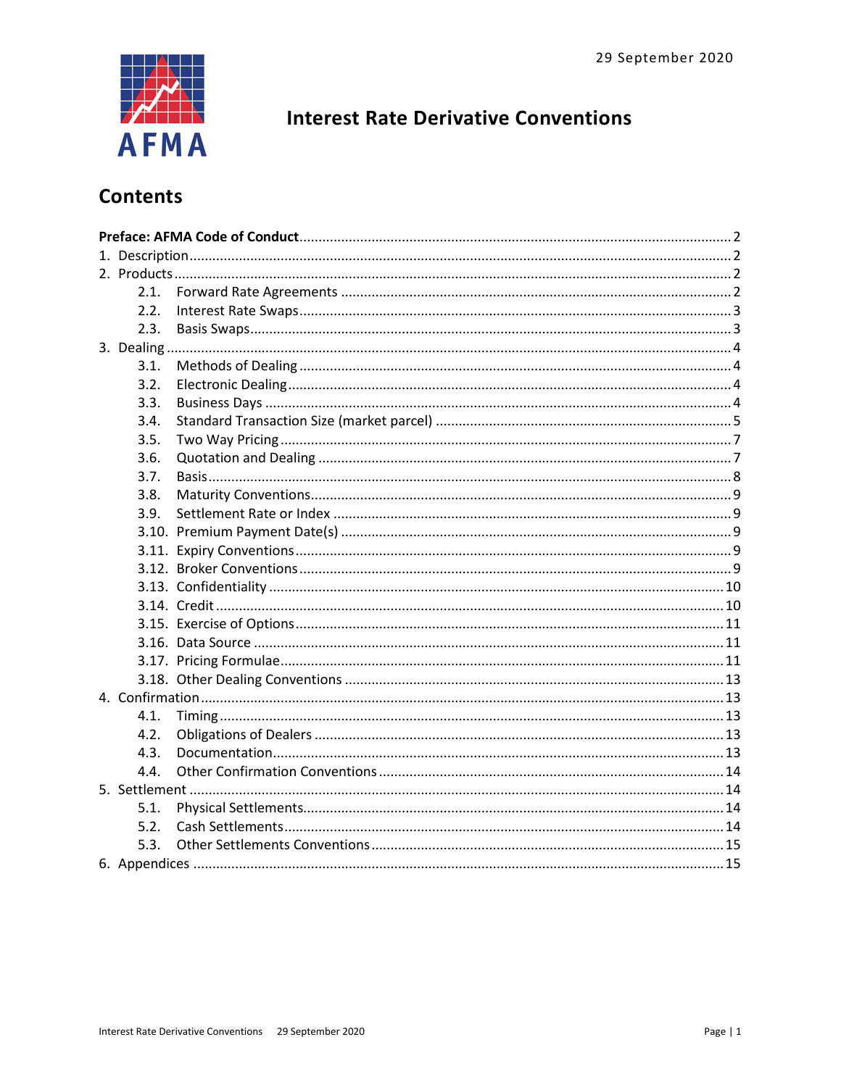

# **Interest Rate Derivative Conventions**

# **Contents**

|  | 2.1. |  |  |  |  |
|--|------|--|--|--|--|
|  | 2.2. |  |  |  |  |
|  | 2.3. |  |  |  |  |
|  |      |  |  |  |  |
|  | 3.1. |  |  |  |  |
|  | 3.2. |  |  |  |  |
|  | 3.3. |  |  |  |  |
|  | 3.4. |  |  |  |  |
|  | 3.5. |  |  |  |  |
|  | 3.6. |  |  |  |  |
|  | 3.7. |  |  |  |  |
|  | 3.8. |  |  |  |  |
|  | 3.9. |  |  |  |  |
|  |      |  |  |  |  |
|  |      |  |  |  |  |
|  |      |  |  |  |  |
|  |      |  |  |  |  |
|  |      |  |  |  |  |
|  |      |  |  |  |  |
|  |      |  |  |  |  |
|  |      |  |  |  |  |
|  |      |  |  |  |  |
|  |      |  |  |  |  |
|  | 4.1. |  |  |  |  |
|  | 4.2. |  |  |  |  |
|  | 4.3. |  |  |  |  |
|  | 4.4. |  |  |  |  |
|  |      |  |  |  |  |
|  | 5.1. |  |  |  |  |
|  | 5.2. |  |  |  |  |
|  | 5.3. |  |  |  |  |
|  |      |  |  |  |  |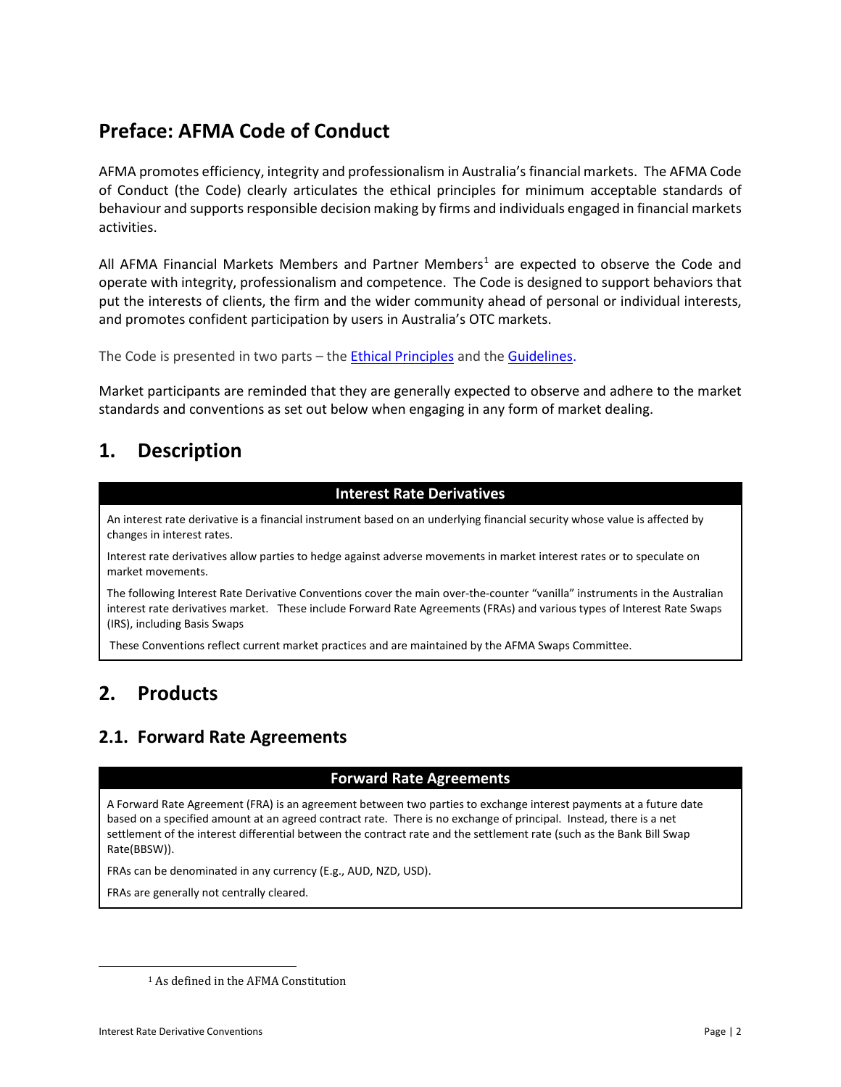# <span id="page-1-0"></span>**Preface: AFMA Code of Conduct**

AFMA promotes efficiency, integrity and professionalism in Australia's financial markets. The AFMA Code of Conduct (the Code) clearly articulates the ethical principles for minimum acceptable standards of behaviour and supports responsible decision making by firms and individuals engaged in financial markets activities.

All AFMA Financial Markets Members and Partner Members<sup>1</sup> are expected to observe the Code and operate with integrity, professionalism and competence. The Code is designed to support behaviors that put the interests of clients, the firm and the wider community ahead of personal or individual interests, and promotes confident participation by users in Australia's OTC markets.

The Code is presented in two parts – the [Ethical Principles](http://www.afma.com.au/afmawr/_assets/main/LIB90010/Code%20of%20Conduct%20-%20ETHICAL%20PRINCIPLES.pdf) and the [Guidelines.](http://www.afma.com.au/afmawr/_assets/main/LIB90010/Code%20of%20Conduct%20-%20GUIDELINES.pdf)

Market participants are reminded that they are generally expected to observe and adhere to the market standards and conventions as set out below when engaging in any form of market dealing.

# <span id="page-1-1"></span>**1. Description**

### **Interest Rate Derivatives**

An interest rate derivative is a financial instrument based on an underlying financial security whose value is affected by changes in interest rates.

Interest rate derivatives allow parties to hedge against adverse movements in market interest rates or to speculate on market movements.

The following Interest Rate Derivative Conventions cover the main over-the-counter "vanilla" instruments in the Australian interest rate derivatives market. These include Forward Rate Agreements (FRAs) and various types of Interest Rate Swaps (IRS), including Basis Swaps

These Conventions reflect current market practices and are maintained by the AFMA Swaps Committee.

# <span id="page-1-2"></span>**2. Products**

# <span id="page-1-3"></span>**2.1. Forward Rate Agreements**

### **Forward Rate Agreements**

A Forward Rate Agreement (FRA) is an agreement between two parties to exchange interest payments at a future date based on a specified amount at an agreed contract rate. There is no exchange of principal. Instead, there is a net settlement of the interest differential between the contract rate and the settlement rate (such as the Bank Bill Swap Rate(BBSW)).

FRAs can be denominated in any currency (E.g., AUD, NZD, USD).

FRAs are generally not centrally cleared.

<span id="page-1-4"></span> $\overline{\phantom{a}}$ 

<sup>1</sup> As defined in the AFMA Constitution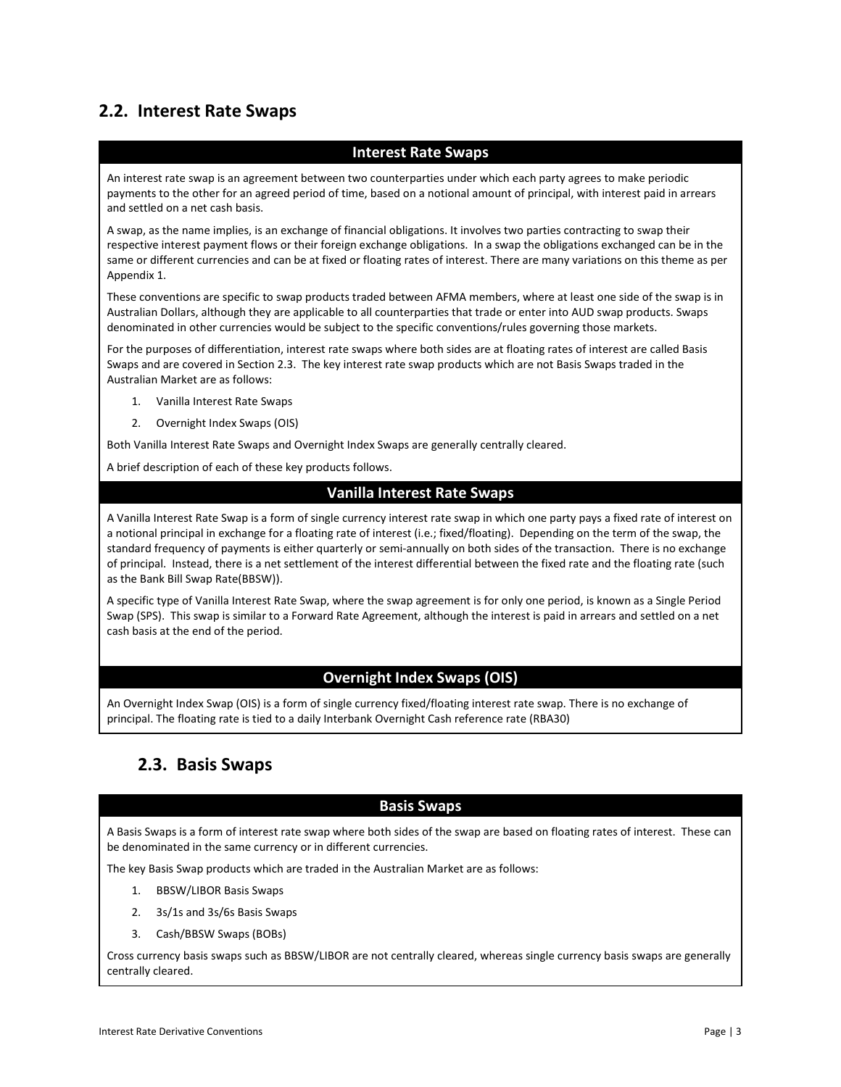# <span id="page-2-0"></span>**2.2. Interest Rate Swaps**

#### **Interest Rate Swaps**

An interest rate swap is an agreement between two counterparties under which each party agrees to make periodic payments to the other for an agreed period of time, based on a notional amount of principal, with interest paid in arrears and settled on a net cash basis.

A swap, as the name implies, is an exchange of financial obligations. It involves two parties contracting to swap their respective interest payment flows or their foreign exchange obligations. In a swap the obligations exchanged can be in the same or different currencies and can be at fixed or floating rates of interest. There are many variations on this theme as per Appendix 1.

These conventions are specific to swap products traded between AFMA members, where at least one side of the swap is in Australian Dollars, although they are applicable to all counterparties that trade or enter into AUD swap products. Swaps denominated in other currencies would be subject to the specific conventions/rules governing those markets.

For the purposes of differentiation, interest rate swaps where both sides are at floating rates of interest are called Basis Swaps and are covered in Section 2.3. The key interest rate swap products which are not Basis Swaps traded in the Australian Market are as follows:

- 1. Vanilla Interest Rate Swaps
- 2. Overnight Index Swaps (OIS)

Both Vanilla Interest Rate Swaps and Overnight Index Swaps are generally centrally cleared.

A brief description of each of these key products follows.

### **Vanilla Interest Rate Swaps**

A Vanilla Interest Rate Swap is a form of single currency interest rate swap in which one party pays a fixed rate of interest on a notional principal in exchange for a floating rate of interest (i.e.; fixed/floating). Depending on the term of the swap, the standard frequency of payments is either quarterly or semi-annually on both sides of the transaction. There is no exchange of principal. Instead, there is a net settlement of the interest differential between the fixed rate and the floating rate (such as the Bank Bill Swap Rate(BBSW)).

A specific type of Vanilla Interest Rate Swap, where the swap agreement is for only one period, is known as a Single Period Swap (SPS). This swap is similar to a Forward Rate Agreement, although the interest is paid in arrears and settled on a net cash basis at the end of the period.

### **Overnight Index Swaps (OIS)**

An Overnight Index Swap (OIS) is a form of single currency fixed/floating interest rate swap. There is no exchange of principal. The floating rate is tied to a daily Interbank Overnight Cash reference rate (RBA30)

## <span id="page-2-1"></span>**2.3. Basis Swaps**

#### **Basis Swaps**

A Basis Swaps is a form of interest rate swap where both sides of the swap are based on floating rates of interest. These can be denominated in the same currency or in different currencies.

The key Basis Swap products which are traded in the Australian Market are as follows:

- 1. BBSW/LIBOR Basis Swaps
- 2. 3s/1s and 3s/6s Basis Swaps
- 3. Cash/BBSW Swaps (BOBs)

Cross currency basis swaps such as BBSW/LIBOR are not centrally cleared, whereas single currency basis swaps are generally centrally cleared.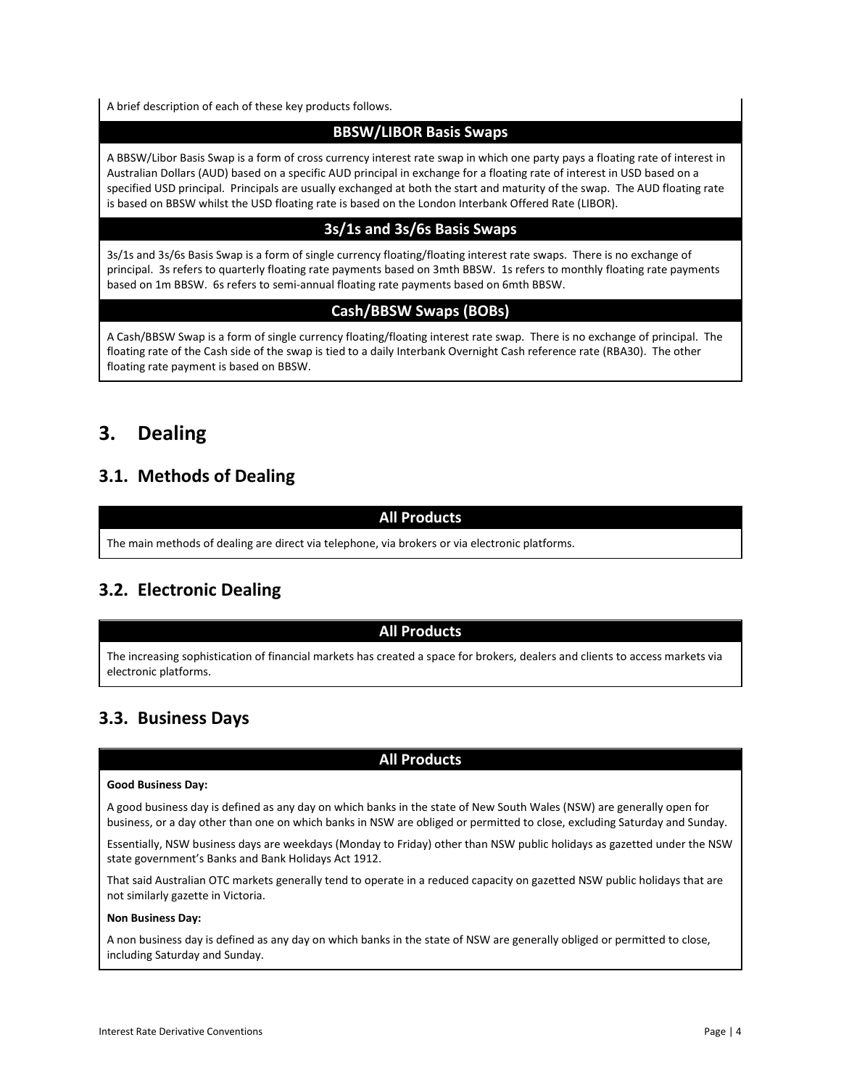A brief description of each of these key products follows.

### **BBSW/LIBOR Basis Swaps**

A BBSW/Libor Basis Swap is a form of cross currency interest rate swap in which one party pays a floating rate of interest in Australian Dollars (AUD) based on a specific AUD principal in exchange for a floating rate of interest in USD based on a specified USD principal. Principals are usually exchanged at both the start and maturity of the swap. The AUD floating rate is based on BBSW whilst the USD floating rate is based on the London Interbank Offered Rate (LIBOR).

## **3s/1s and 3s/6s Basis Swaps**

3s/1s and 3s/6s Basis Swap is a form of single currency floating/floating interest rate swaps. There is no exchange of principal. 3s refers to quarterly floating rate payments based on 3mth BBSW. 1s refers to monthly floating rate payments based on 1m BBSW. 6s refers to semi-annual floating rate payments based on 6mth BBSW.

## **Cash/BBSW Swaps (BOBs)**

A Cash/BBSW Swap is a form of single currency floating/floating interest rate swap. There is no exchange of principal. The floating rate of the Cash side of the swap is tied to a daily Interbank Overnight Cash reference rate (RBA30). The other floating rate payment is based on BBSW.

# <span id="page-3-0"></span>**3. Dealing**

# <span id="page-3-1"></span>**3.1. Methods of Dealing**

## **All Products**

The main methods of dealing are direct via telephone, via brokers or via electronic platforms.

# <span id="page-3-2"></span>**3.2. Electronic Dealing**

### **All Products**

The increasing sophistication of financial markets has created a space for brokers, dealers and clients to access markets via electronic platforms.

# <span id="page-3-3"></span>**3.3. Business Days**

### **All Products**

#### **Good Business Day:**

A good business day is defined as any day on which banks in the state of New South Wales (NSW) are generally open for business, or a day other than one on which banks in NSW are obliged or permitted to close, excluding Saturday and Sunday.

Essentially, NSW business days are weekdays (Monday to Friday) other than NSW public holidays as gazetted under the NSW state government's Banks and Bank Holidays Act 1912.

That said Australian OTC markets generally tend to operate in a reduced capacity on gazetted NSW public holidays that are not similarly gazette in Victoria.

#### **Non Business Day:**

A non business day is defined as any day on which banks in the state of NSW are generally obliged or permitted to close, including Saturday and Sunday.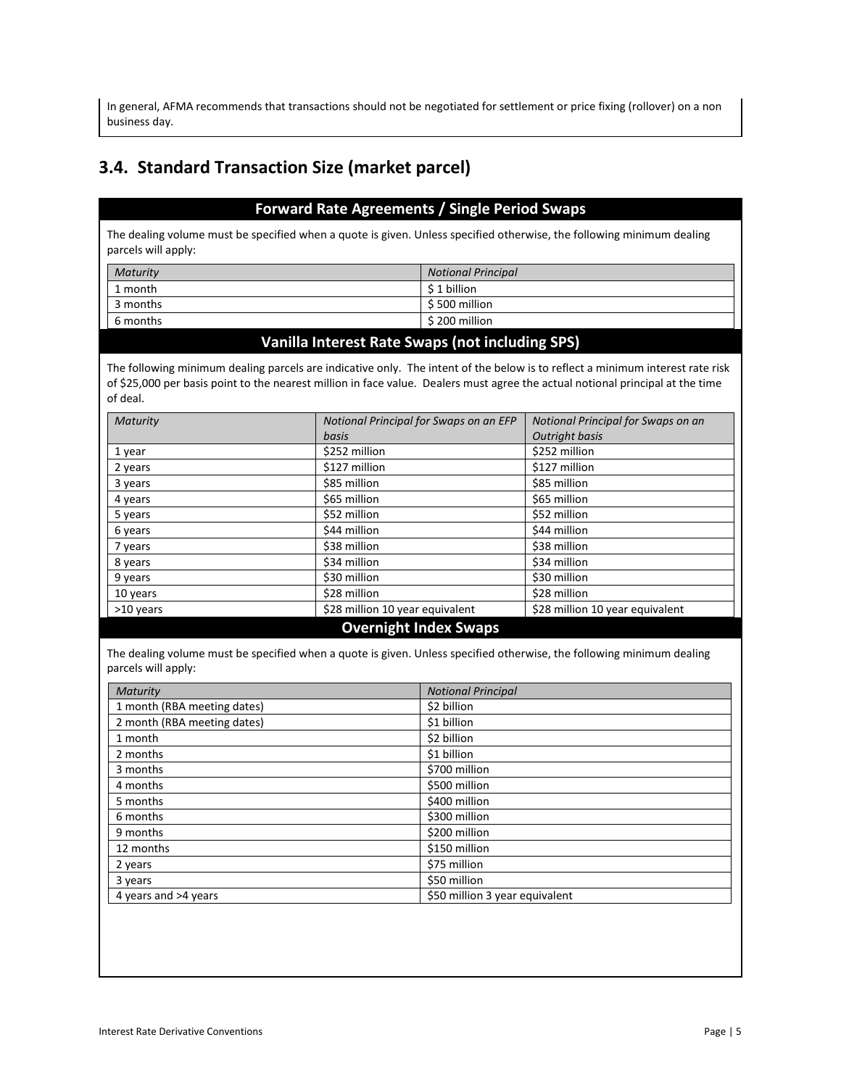In general, AFMA recommends that transactions should not be negotiated for settlement or price fixing (rollover) on a non business day.

# <span id="page-4-0"></span>**3.4. Standard Transaction Size (market parcel)**

### **Forward Rate Agreements / Single Period Swaps**

The dealing volume must be specified when a quote is given. Unless specified otherwise, the following minimum dealing parcels will apply:

| Maturity | <b>Notional Principal</b> |
|----------|---------------------------|
| 1 month  | \$1 billion               |
| 3 months | \$ 500 million            |
| 6 months | \$200 million             |
|          |                           |

#### **Vanilla Interest Rate Swaps (not including SPS)**

The following minimum dealing parcels are indicative only. The intent of the below is to reflect a minimum interest rate risk of \$25,000 per basis point to the nearest million in face value. Dealers must agree the actual notional principal at the time of deal.

| Maturity                     | Notional Principal for Swaps on an EFP | Notional Principal for Swaps on an |  |
|------------------------------|----------------------------------------|------------------------------------|--|
|                              | basis                                  | <b>Outright basis</b>              |  |
| 1 year                       | \$252 million                          | \$252 million                      |  |
| 2 years                      | \$127 million                          | \$127 million                      |  |
| 3 years                      | \$85 million                           | \$85 million                       |  |
| 4 years                      | \$65 million                           | \$65 million                       |  |
| 5 years                      | \$52 million                           | \$52 million                       |  |
| 6 years                      | \$44 million                           | \$44 million                       |  |
| 7 years                      | \$38 million                           | \$38 million                       |  |
| 8 years                      | \$34 million                           | \$34 million                       |  |
| 9 years                      | \$30 million                           | \$30 million                       |  |
| 10 years                     | \$28 million                           | \$28 million                       |  |
| >10 years                    | \$28 million 10 year equivalent        | \$28 million 10 year equivalent    |  |
| <b>Overnight Index Swaps</b> |                                        |                                    |  |

The dealing volume must be specified when a quote is given. Unless specified otherwise, the following minimum dealing parcels will apply:

| Maturity                    | <b>Notional Principal</b>      |
|-----------------------------|--------------------------------|
| 1 month (RBA meeting dates) | \$2 billion                    |
| 2 month (RBA meeting dates) | \$1 billion                    |
| 1 month                     | \$2 billion                    |
| 2 months                    | \$1 billion                    |
| 3 months                    | \$700 million                  |
| 4 months                    | \$500 million                  |
| 5 months                    | \$400 million                  |
| 6 months                    | \$300 million                  |
| 9 months                    | \$200 million                  |
| 12 months                   | \$150 million                  |
| 2 years                     | \$75 million                   |
| 3 years                     | \$50 million                   |
| 4 years and >4 years        | \$50 million 3 year equivalent |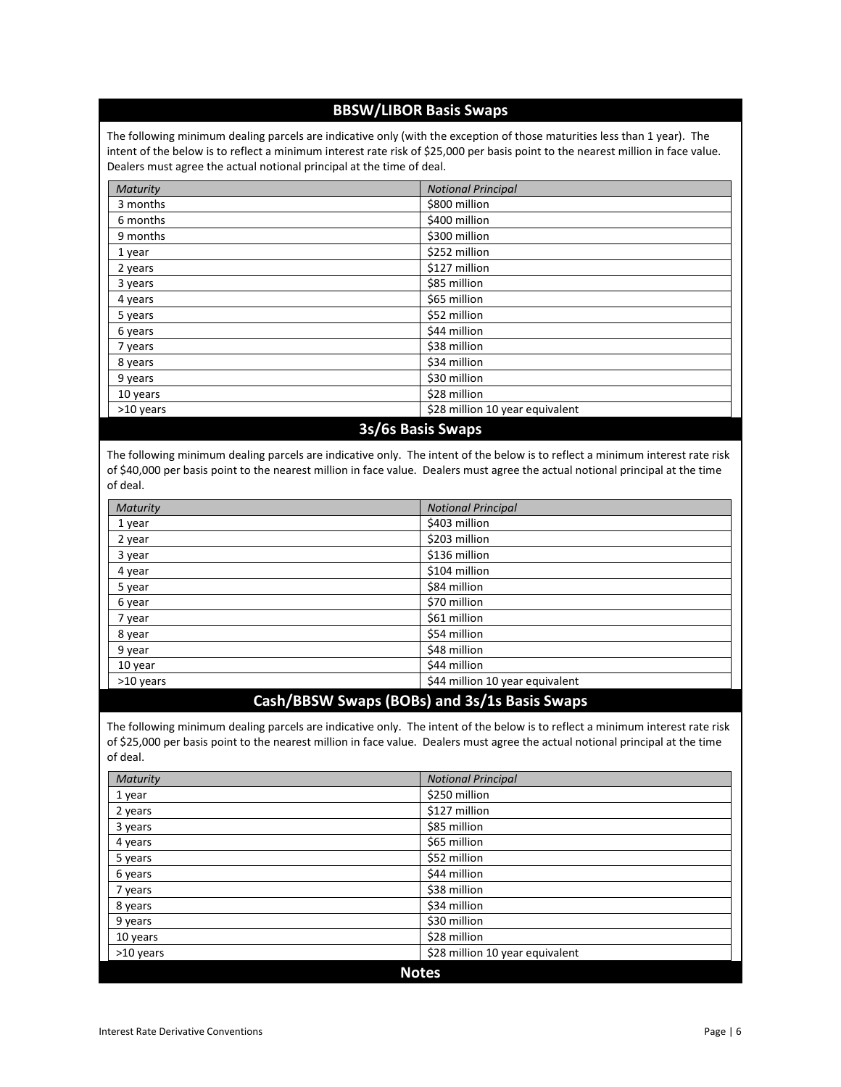### **BBSW/LIBOR Basis Swaps**

The following minimum dealing parcels are indicative only (with the exception of those maturities less than 1 year). The intent of the below is to reflect a minimum interest rate risk of \$25,000 per basis point to the nearest million in face value. Dealers must agree the actual notional principal at the time of deal.

| Maturity          | <b>Notional Principal</b>       |  |
|-------------------|---------------------------------|--|
| 3 months          | \$800 million                   |  |
| 6 months          | \$400 million                   |  |
| 9 months          | \$300 million                   |  |
| 1 year            | \$252 million                   |  |
| 2 years           | \$127 million                   |  |
| 3 years           | \$85 million                    |  |
| 4 years           | \$65 million                    |  |
| 5 years           | \$52 million                    |  |
| 6 years           | \$44 million                    |  |
| 7 years           | \$38 million                    |  |
| 8 years           | \$34 million                    |  |
| 9 years           | \$30 million                    |  |
| 10 years          | \$28 million                    |  |
| >10 years         | \$28 million 10 year equivalent |  |
| 3s/6s Basis Swaps |                                 |  |

The following minimum dealing parcels are indicative only. The intent of the below is to reflect a minimum interest rate risk of \$40,000 per basis point to the nearest million in face value. Dealers must agree the actual notional principal at the time of deal.

| Maturity  | <b>Notional Principal</b>       |  |
|-----------|---------------------------------|--|
| 1 year    | \$403 million                   |  |
| 2 year    | \$203 million                   |  |
| 3 year    | \$136 million                   |  |
| 4 year    | \$104 million                   |  |
| 5 year    | \$84 million                    |  |
| 6 year    | \$70 million                    |  |
| 7 year    | \$61 million                    |  |
| 8 year    | \$54 million                    |  |
| 9 year    | \$48 million                    |  |
| 10 year   | \$44 million                    |  |
| >10 years | \$44 million 10 year equivalent |  |

### **Cash/BBSW Swaps (BOBs) and 3s/1s Basis Swaps**

The following minimum dealing parcels are indicative only. The intent of the below is to reflect a minimum interest rate risk of \$25,000 per basis point to the nearest million in face value. Dealers must agree the actual notional principal at the time of deal.

| <b>Maturity</b> | <b>Notional Principal</b>       |  |
|-----------------|---------------------------------|--|
| 1 year          | \$250 million                   |  |
| 2 years         | \$127 million                   |  |
| 3 years         | \$85 million                    |  |
| 4 years         | \$65 million                    |  |
| 5 years         | \$52 million                    |  |
| 6 years         | \$44 million                    |  |
| 7 years         | \$38 million                    |  |
| 8 years         | \$34 million                    |  |
| 9 years         | \$30 million                    |  |
| 10 years        | \$28 million                    |  |
| >10 years       | \$28 million 10 year equivalent |  |
| <b>Notes</b>    |                                 |  |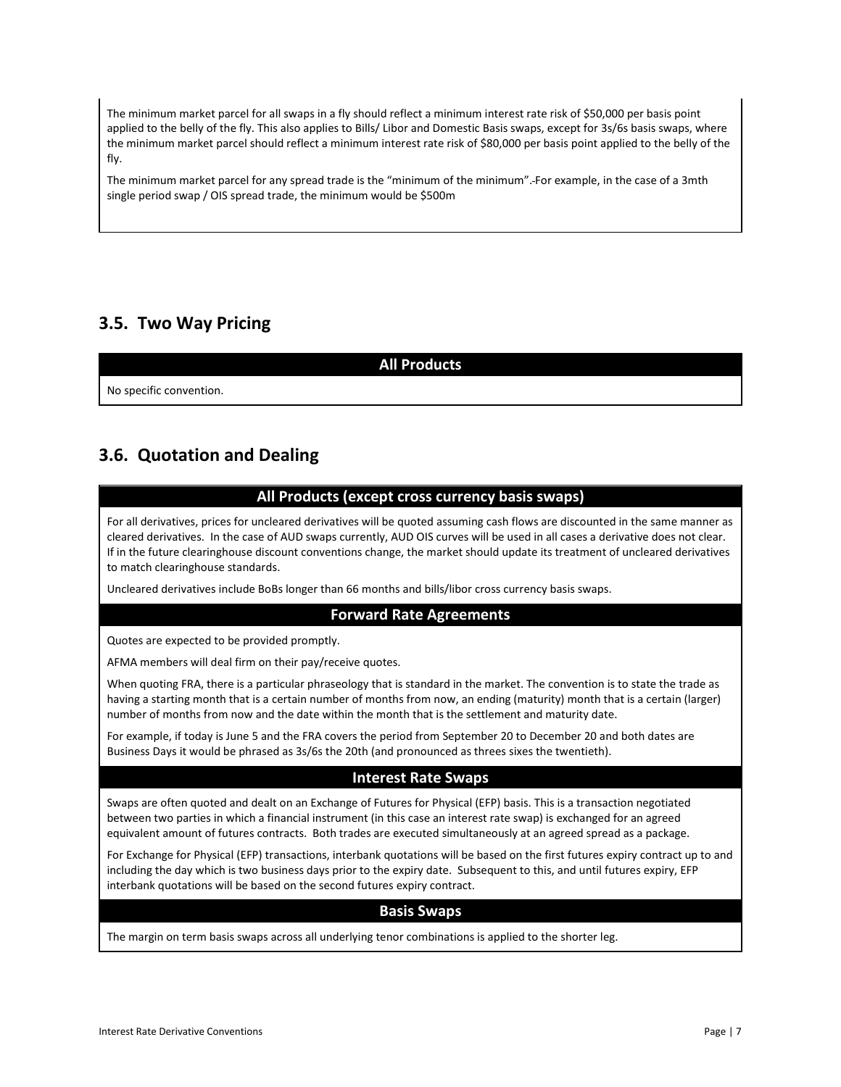The minimum market parcel for all swaps in a fly should reflect a minimum interest rate risk of \$50,000 per basis point applied to the belly of the fly. This also applies to Bills/ Libor and Domestic Basis swaps, except for 3s/6s basis swaps, where the minimum market parcel should reflect a minimum interest rate risk of \$80,000 per basis point applied to the belly of the fly.

The minimum market parcel for any spread trade is the "minimum of the minimum". For example, in the case of a 3mth single period swap / OIS spread trade, the minimum would be \$500m

# <span id="page-6-0"></span>**3.5. Two Way Pricing**

**All Products**

No specific convention.

# <span id="page-6-1"></span>**3.6. Quotation and Dealing**

### **All Products (except cross currency basis swaps)**

For all derivatives, prices for uncleared derivatives will be quoted assuming cash flows are discounted in the same manner as cleared derivatives. In the case of AUD swaps currently, AUD OIS curves will be used in all cases a derivative does not clear. If in the future clearinghouse discount conventions change, the market should update its treatment of uncleared derivatives to match clearinghouse standards.

Uncleared derivatives include BoBs longer than 66 months and bills/libor cross currency basis swaps.

### **Forward Rate Agreements**

Quotes are expected to be provided promptly.

AFMA members will deal firm on their pay/receive quotes.

When quoting FRA, there is a particular phraseology that is standard in the market. The convention is to state the trade as having a starting month that is a certain number of months from now, an ending (maturity) month that is a certain (larger) number of months from now and the date within the month that is the settlement and maturity date.

For example, if today is June 5 and the FRA covers the period from September 20 to December 20 and both dates are Business Days it would be phrased as 3s/6s the 20th (and pronounced as threes sixes the twentieth).

### **Interest Rate Swaps**

Swaps are often quoted and dealt on an Exchange of Futures for Physical (EFP) basis. This is a transaction negotiated between two parties in which a financial instrument (in this case an interest rate swap) is exchanged for an agreed equivalent amount of futures contracts. Both trades are executed simultaneously at an agreed spread as a package.

For Exchange for Physical (EFP) transactions, interbank quotations will be based on the first futures expiry contract up to and including the day which is two business days prior to the expiry date. Subsequent to this, and until futures expiry, EFP interbank quotations will be based on the second futures expiry contract.

#### **Basis Swaps**

The margin on term basis swaps across all underlying tenor combinations is applied to the shorter leg.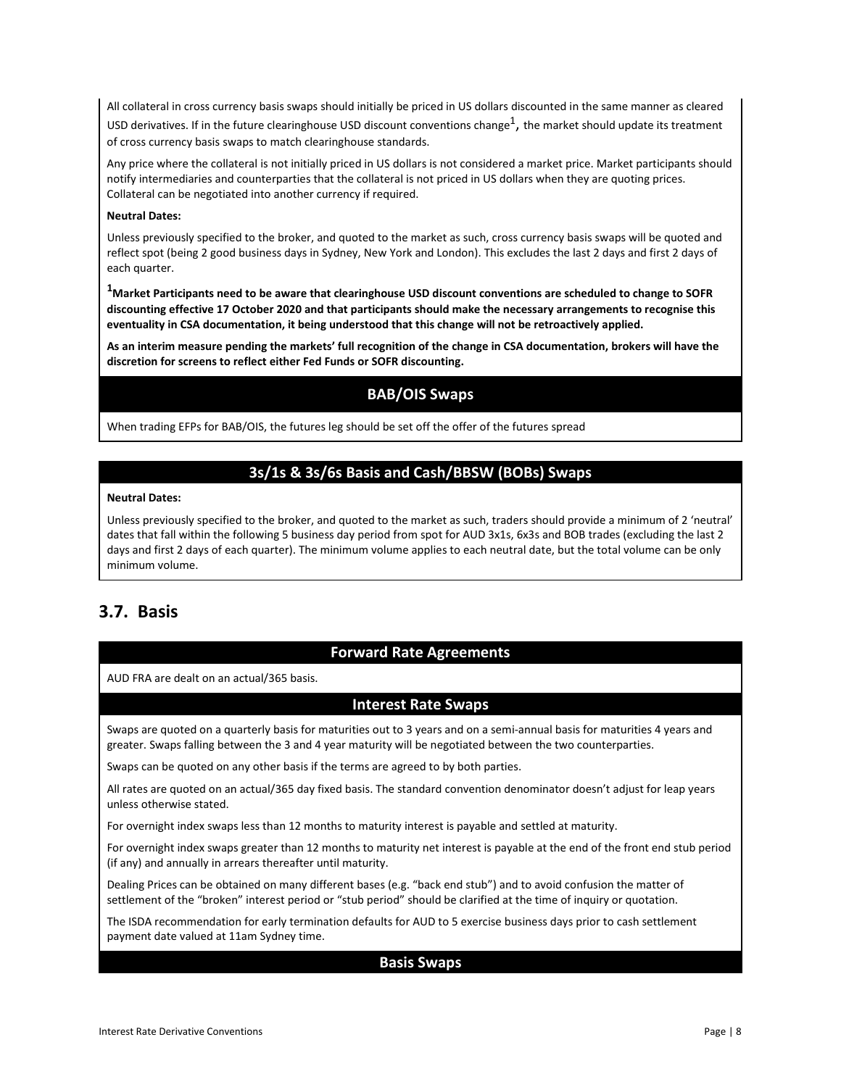All collateral in cross currency basis swaps should initially be priced in US dollars discounted in the same manner as cleared USD derivatives. If in the future clearinghouse USD discount conventions change<sup>1</sup>, the market should update its treatment of cross currency basis swaps to match clearinghouse standards.

Any price where the collateral is not initially priced in US dollars is not considered a market price. Market participants should notify intermediaries and counterparties that the collateral is not priced in US dollars when they are quoting prices. Collateral can be negotiated into another currency if required.

#### **Neutral Dates:**

Unless previously specified to the broker, and quoted to the market as such, cross currency basis swaps will be quoted and reflect spot (being 2 good business days in Sydney, New York and London). This excludes the last 2 days and first 2 days of each quarter.

**1Market Participants need to be aware that clearinghouse USD discount conventions are scheduled to change to SOFR discounting effective 17 October 2020 and that participants should make the necessary arrangements to recognise this eventuality in CSA documentation, it being understood that this change will not be retroactively applied.** 

**As an interim measure pending the markets' full recognition of the change in CSA documentation, brokers will have the discretion for screens to reflect either Fed Funds or SOFR discounting.**

### **BAB/OIS Swaps**

When trading EFPs for BAB/OIS, the futures leg should be set off the offer of the futures spread

## **3s/1s & 3s/6s Basis and Cash/BBSW (BOBs) Swaps**

#### **Neutral Dates:**

Unless previously specified to the broker, and quoted to the market as such, traders should provide a minimum of 2 'neutral' dates that fall within the following 5 business day period from spot for AUD 3x1s, 6x3s and BOB trades (excluding the last 2 days and first 2 days of each quarter). The minimum volume applies to each neutral date, but the total volume can be only minimum volume.

## <span id="page-7-0"></span>**3.7. Basis**

### **Forward Rate Agreements**

AUD FRA are dealt on an actual/365 basis.

### **Interest Rate Swaps**

Swaps are quoted on a quarterly basis for maturities out to 3 years and on a semi-annual basis for maturities 4 years and greater. Swaps falling between the 3 and 4 year maturity will be negotiated between the two counterparties.

Swaps can be quoted on any other basis if the terms are agreed to by both parties.

All rates are quoted on an actual/365 day fixed basis. The standard convention denominator doesn't adjust for leap years unless otherwise stated.

For overnight index swaps less than 12 months to maturity interest is payable and settled at maturity.

For overnight index swaps greater than 12 months to maturity net interest is payable at the end of the front end stub period (if any) and annually in arrears thereafter until maturity.

Dealing Prices can be obtained on many different bases (e.g. "back end stub") and to avoid confusion the matter of settlement of the "broken" interest period or "stub period" should be clarified at the time of inquiry or quotation.

The ISDA recommendation for early termination defaults for AUD to 5 exercise business days prior to cash settlement payment date valued at 11am Sydney time.

#### **Basis Swaps**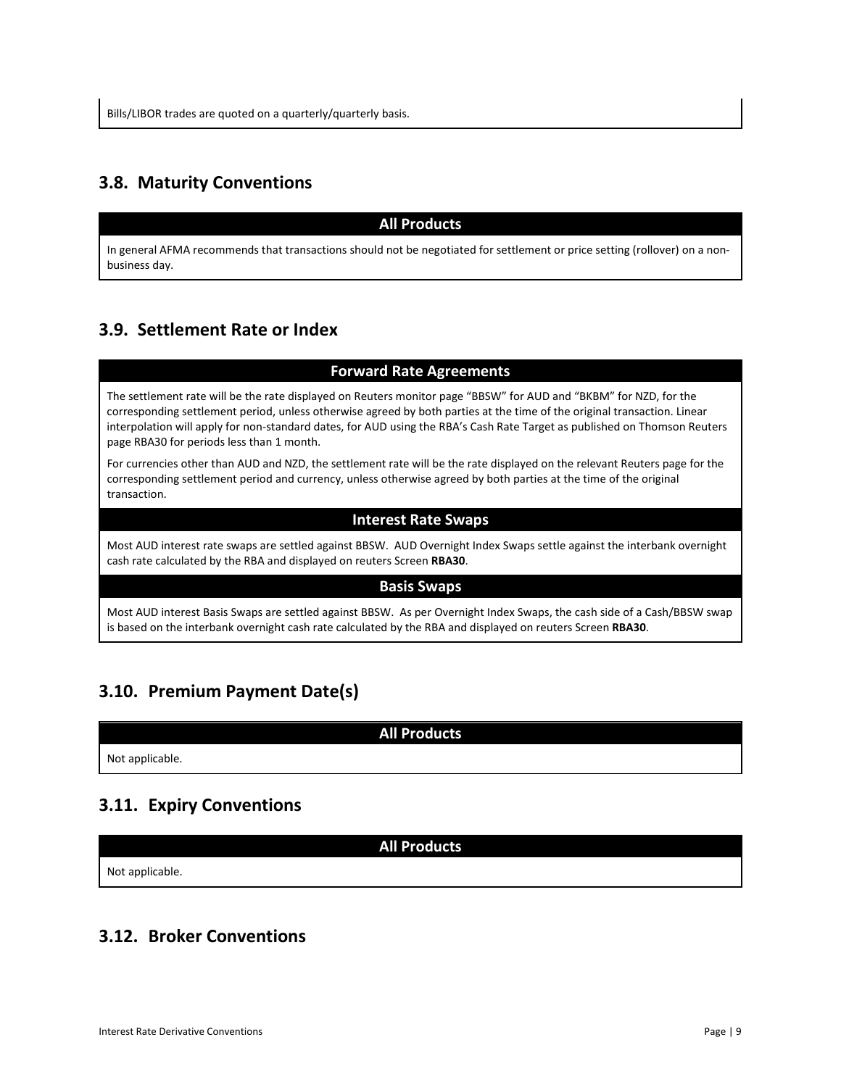# <span id="page-8-0"></span>**3.8. Maturity Conventions**

### **All Products**

In general AFMA recommends that transactions should not be negotiated for settlement or price setting (rollover) on a nonbusiness day.

# <span id="page-8-1"></span>**3.9. Settlement Rate or Index**

### **Forward Rate Agreements**

The settlement rate will be the rate displayed on Reuters monitor page "BBSW" for AUD and "BKBM" for NZD, for the corresponding settlement period, unless otherwise agreed by both parties at the time of the original transaction. Linear interpolation will apply for non-standard dates, for AUD using the RBA's Cash Rate Target as published on Thomson Reuters page RBA30 for periods less than 1 month.

For currencies other than AUD and NZD, the settlement rate will be the rate displayed on the relevant Reuters page for the corresponding settlement period and currency, unless otherwise agreed by both parties at the time of the original transaction.

### **Interest Rate Swaps**

Most AUD interest rate swaps are settled against BBSW. AUD Overnight Index Swaps settle against the interbank overnight cash rate calculated by the RBA and displayed on reuters Screen **RBA30**.

#### **Basis Swaps**

Most AUD interest Basis Swaps are settled against BBSW. As per Overnight Index Swaps, the cash side of a Cash/BBSW swap is based on the interbank overnight cash rate calculated by the RBA and displayed on reuters Screen **RBA30**.

# <span id="page-8-2"></span>**3.10. Premium Payment Date(s)**

**All Products**

Not applicable.

# <span id="page-8-3"></span>**3.11. Expiry Conventions**

**All Products**

Not applicable.

# <span id="page-8-4"></span>**3.12. Broker Conventions**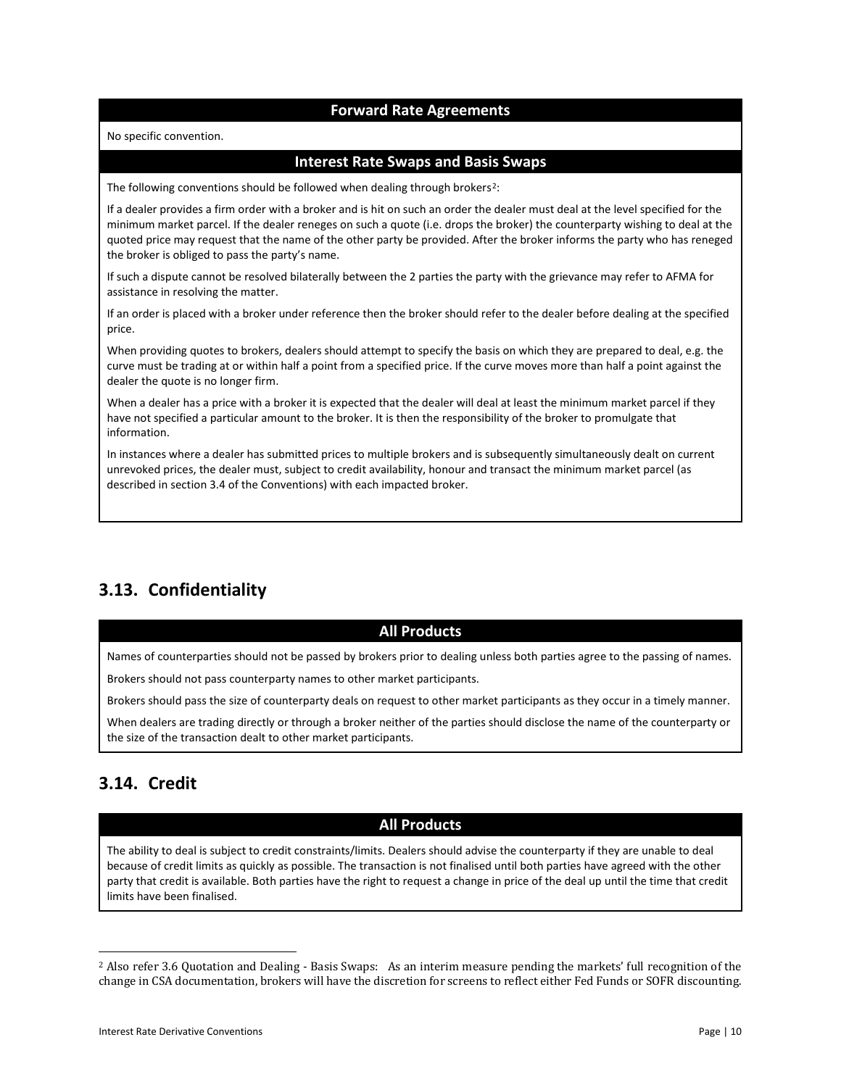### **Forward Rate Agreements**

No specific convention.

#### **Interest Rate Swaps and Basis Swaps**

The following conventions should be followed when dealing through brokers<sup>2</sup>:

If a dealer provides a firm order with a broker and is hit on such an order the dealer must deal at the level specified for the minimum market parcel. If the dealer reneges on such a quote (i.e. drops the broker) the counterparty wishing to deal at the quoted price may request that the name of the other party be provided. After the broker informs the party who has reneged the broker is obliged to pass the party's name.

If such a dispute cannot be resolved bilaterally between the 2 parties the party with the grievance may refer to AFMA for assistance in resolving the matter.

If an order is placed with a broker under reference then the broker should refer to the dealer before dealing at the specified price.

When providing quotes to brokers, dealers should attempt to specify the basis on which they are prepared to deal, e.g. the curve must be trading at or within half a point from a specified price. If the curve moves more than half a point against the dealer the quote is no longer firm.

When a dealer has a price with a broker it is expected that the dealer will deal at least the minimum market parcel if they have not specified a particular amount to the broker. It is then the responsibility of the broker to promulgate that information.

In instances where a dealer has submitted prices to multiple brokers and is subsequently simultaneously dealt on current unrevoked prices, the dealer must, subject to credit availability, honour and transact the minimum market parcel (as described in section 3.4 of the Conventions) with each impacted broker.

# <span id="page-9-0"></span>**3.13. Confidentiality**

#### **All Products**

Names of counterparties should not be passed by brokers prior to dealing unless both parties agree to the passing of names.

Brokers should not pass counterparty names to other market participants.

Brokers should pass the size of counterparty deals on request to other market participants as they occur in a timely manner.

When dealers are trading directly or through a broker neither of the parties should disclose the name of the counterparty or the size of the transaction dealt to other market participants.

# <span id="page-9-1"></span>**3.14. Credit**

 $\overline{\phantom{a}}$ 

### **All Products**

The ability to deal is subject to credit constraints/limits. Dealers should advise the counterparty if they are unable to deal because of credit limits as quickly as possible. The transaction is not finalised until both parties have agreed with the other party that credit is available. Both parties have the right to request a change in price of the deal up until the time that credit limits have been finalised.

<span id="page-9-2"></span><sup>2</sup> Also refer 3.6 Quotation and Dealing - Basis Swaps: As an interim measure pending the markets' full recognition of the change in CSA documentation, brokers will have the discretion for screens to reflect either Fed Funds or SOFR discounting.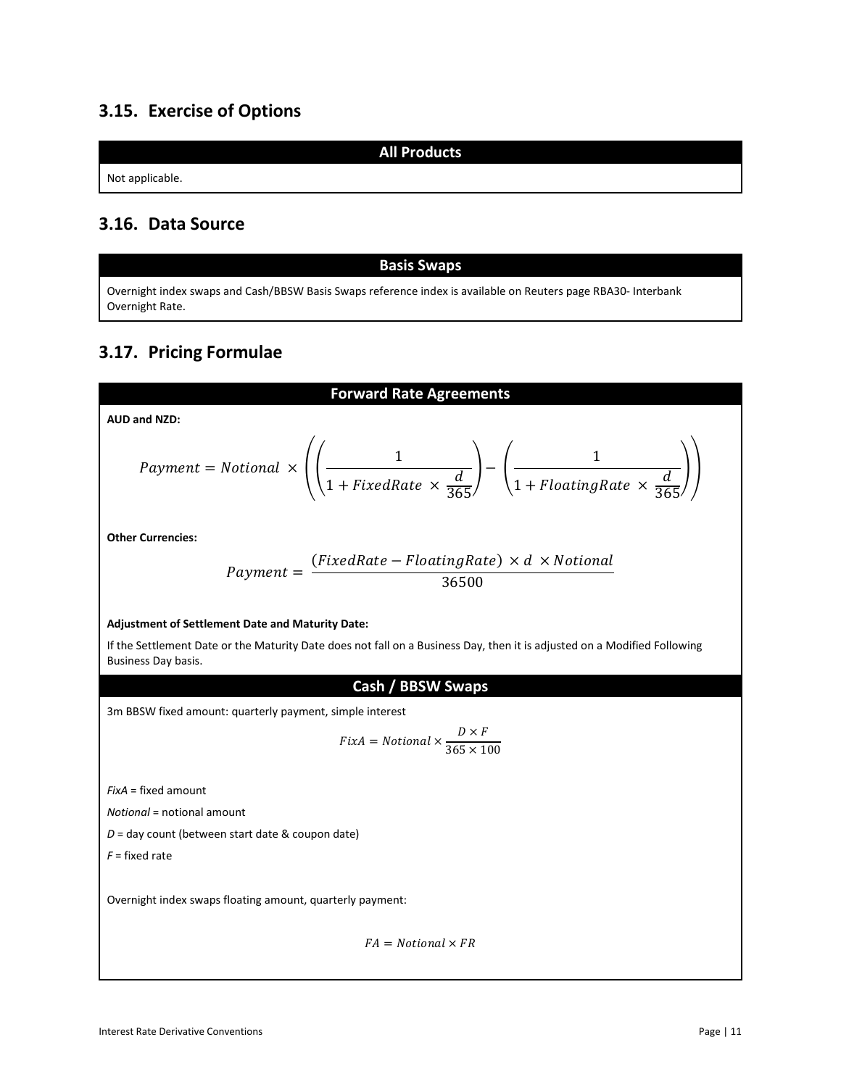# <span id="page-10-0"></span>**3.15. Exercise of Options**

Not applicable.

# <span id="page-10-1"></span>**3.16. Data Source**

#### **Basis Swaps**

**All Products**

Overnight index swaps and Cash/BBSW Basis Swaps reference index is available on Reuters page RBA30- Interbank Overnight Rate.

# <span id="page-10-2"></span>**3.17. Pricing Formulae**

# **Forward Rate Agreements AUD and NZD:** Payment = Notional  $\times$   $\Big( \Big( \frac{1}{\sqrt{1 - \frac{1}{\sqrt{1 - \frac{1}{\sqrt{1 - \frac{1}{\sqrt{1 - \frac{1}{\sqrt{1 - \frac{1}{\sqrt{1 - \frac{1}{\sqrt{1 - \frac{1}{\sqrt{1 - \frac{1}{\sqrt{1 - \frac{1}{\sqrt{1 - \frac{1}{\sqrt{1 - \frac{1}{\sqrt{1 - \frac{1}{\sqrt{1 - \frac{1}{\sqrt{1 - \frac{1}{\sqrt{1 - \frac{1}{\sqrt{1 - \frac{1}{\sqrt{1 - \frac{1}{\sqrt{1 - \frac{1}{\sqrt{1 1 + FixedRate \times \frac{1}{365}$  $\cdot$   $\Big) - \Big( \frac{1}{\sqrt{2\pi}} \Big)$  $1 + F$ loatingRate  $\times \frac{2}{365}$  $\vert \vert$ **Other Currencies:**  $Payment = \frac{(FixedRate - FloatingRate) \times d \times Notional}{36500}$ **Adjustment of Settlement Date and Maturity Date:** If the Settlement Date or the Maturity Date does not fall on a Business Day, then it is adjusted on a Modified Following Business Day basis. **Cash / BBSW Swaps** 3m BBSW fixed amount: quarterly payment, simple interest  $Fix A = Notional \times \frac{D \times F}{365 \times 1}$ 365 × 100 *FixA* = fixed amount *Notional* = notional amount *D* = day count (between start date & coupon date) *F* = fixed rate

Overnight index swaps floating amount, quarterly payment:

 $FA = Notional \times FR$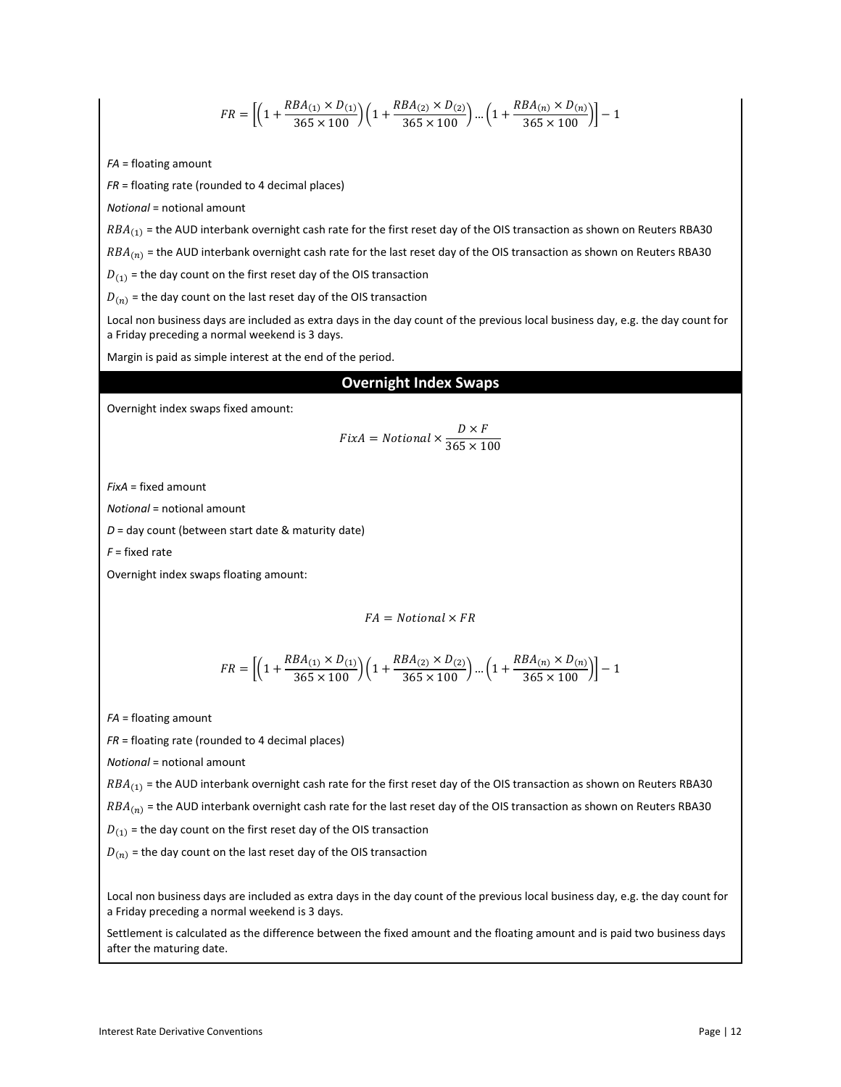$$
FR = \left[ \left( 1 + \frac{RBA_{(1)} \times D_{(1)}}{365 \times 100} \right) \left( 1 + \frac{RBA_{(2)} \times D_{(2)}}{365 \times 100} \right) \dots \left( 1 + \frac{RBA_{(n)} \times D_{(n)}}{365 \times 100} \right) \right] - 1
$$

*FA* = floating amount

*FR* = floating rate (rounded to 4 decimal places)

*Notional* = notional amount

 $RBA_{(1)}$  = the AUD interbank overnight cash rate for the first reset day of the OIS transaction as shown on Reuters RBA30

 $RBA_{(n)}$  = the AUD interbank overnight cash rate for the last reset day of the OIS transaction as shown on Reuters RBA30

 $D_{(1)}$  = the day count on the first reset day of the OIS transaction

 $D(n)$  = the day count on the last reset day of the OIS transaction

Local non business days are included as extra days in the day count of the previous local business day, e.g. the day count for a Friday preceding a normal weekend is 3 days.

Margin is paid as simple interest at the end of the period.

#### **Overnight Index Swaps**

Overnight index swaps fixed amount:

$$
Fix A = Notional \times \frac{D \times F}{365 \times 100}
$$

*FixA* = fixed amount

*Notional* = notional amount

*D* = day count (between start date & maturity date)

*F* = fixed rate

Overnight index swaps floating amount:

 $FA = Notional \times FR$ 

$$
FR = \left[\left(1+\frac{RBA_{(1)} \times D_{(1)}}{365 \times 100}\right)\left(1+\frac{RBA_{(2)} \times D_{(2)}}{365 \times 100}\right)...\left(1+\frac{RBA_{(n)} \times D_{(n)}}{365 \times 100}\right)\right] - 1
$$

*FA* = floating amount

*FR* = floating rate (rounded to 4 decimal places)

*Notional* = notional amount

 $RBA_{(1)}$  = the AUD interbank overnight cash rate for the first reset day of the OIS transaction as shown on Reuters RBA30

 $RBA_{(n)}$  = the AUD interbank overnight cash rate for the last reset day of the OIS transaction as shown on Reuters RBA30

 $D_{(1)}$  = the day count on the first reset day of the OIS transaction

 $D(n)$  = the day count on the last reset day of the OIS transaction

Local non business days are included as extra days in the day count of the previous local business day, e.g. the day count for a Friday preceding a normal weekend is 3 days.

Settlement is calculated as the difference between the fixed amount and the floating amount and is paid two business days after the maturing date.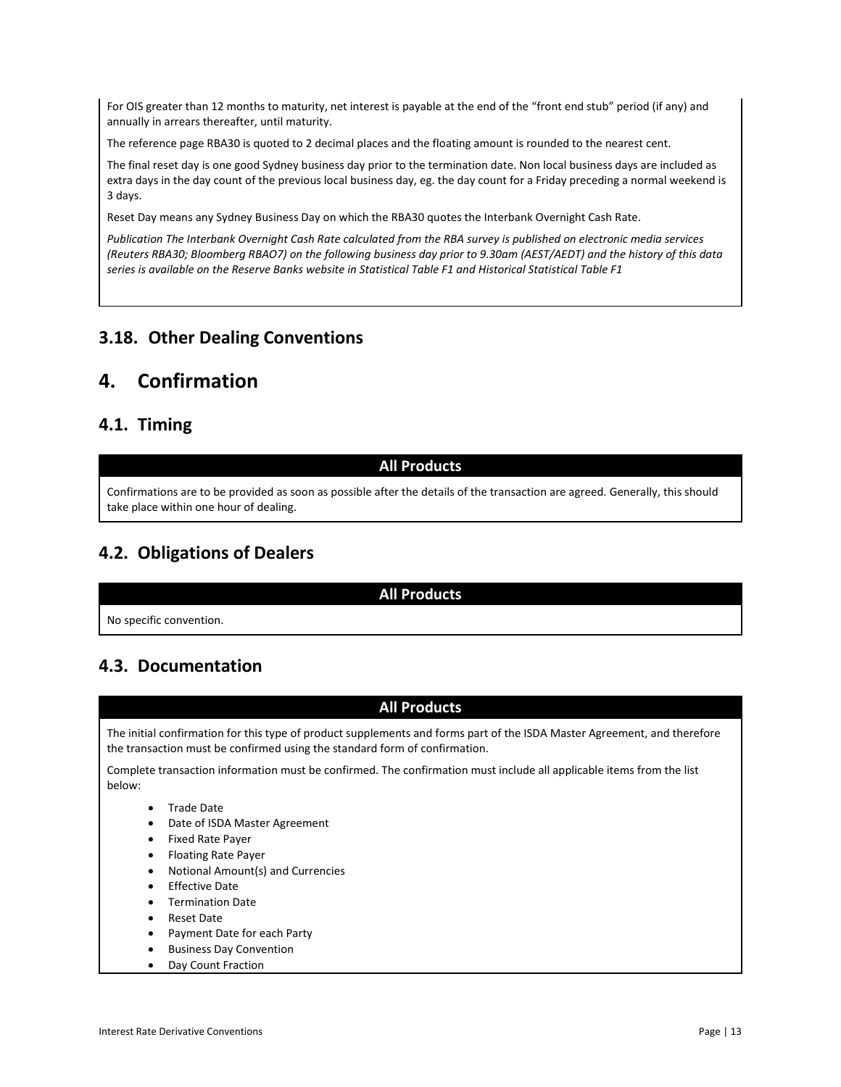For OIS greater than 12 months to maturity, net interest is payable at the end of the "front end stub" period (if any) and annually in arrears thereafter, until maturity.

The reference page RBA30 is quoted to 2 decimal places and the floating amount is rounded to the nearest cent.

The final reset day is one good Sydney business day prior to the termination date. Non local business days are included as extra days in the day count of the previous local business day, eg. the day count for a Friday preceding a normal weekend is 3 days.

Reset Day means any Sydney Business Day on which the RBA30 quotes the Interbank Overnight Cash Rate.

*Publication The Interbank Overnight Cash Rate calculated from the RBA survey is published on electronic media services (Reuters RBA30; Bloomberg RBAO7) on the following business day prior to 9.30am (AEST/AEDT) and the history of this data series is available on the Reserve Banks website in Statistical Table F1 and Historical Statistical Table F1*

# <span id="page-12-0"></span>**3.18. Other Dealing Conventions**

# <span id="page-12-1"></span>**4. Confirmation**

### <span id="page-12-2"></span>**4.1. Timing**

#### **All Products**

Confirmations are to be provided as soon as possible after the details of the transaction are agreed. Generally, this should take place within one hour of dealing.

# <span id="page-12-3"></span>**4.2. Obligations of Dealers**

#### **All Products**

No specific convention.

# <span id="page-12-4"></span>**4.3. Documentation**



• Day Count Fraction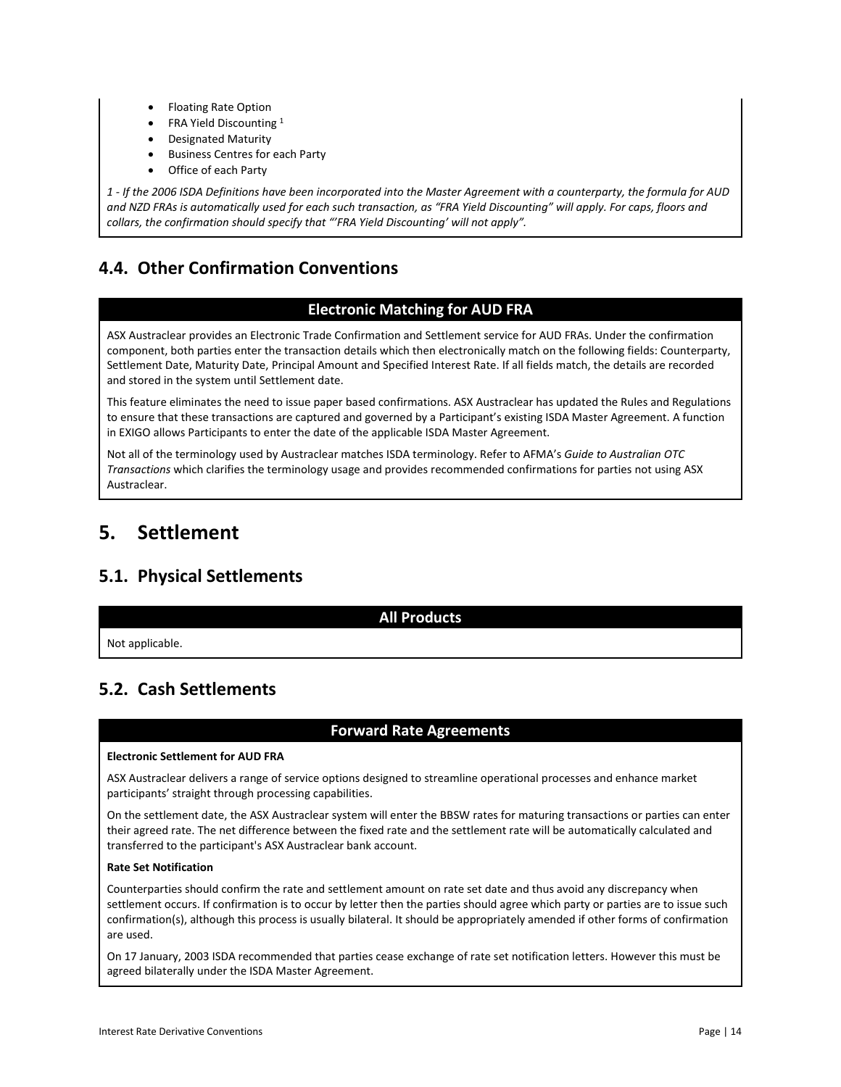- Floating Rate Option
- FRA Yield Discounting 1
- Designated Maturity
- Business Centres for each Party
- Office of each Party

*1 - If the 2006 ISDA Definitions have been incorporated into the Master Agreement with a counterparty, the formula for AUD and NZD FRAs is automatically used for each such transaction, as "FRA Yield Discounting" will apply. For caps, floors and collars, the confirmation should specify that "'FRA Yield Discounting' will not apply".*

# <span id="page-13-0"></span>**4.4. Other Confirmation Conventions**

### **Electronic Matching for AUD FRA**

ASX Austraclear provides an Electronic Trade Confirmation and Settlement service for AUD FRAs. Under the confirmation component, both parties enter the transaction details which then electronically match on the following fields: Counterparty, Settlement Date, Maturity Date, Principal Amount and Specified Interest Rate. If all fields match, the details are recorded and stored in the system until Settlement date.

This feature eliminates the need to issue paper based confirmations. ASX Austraclear has updated the Rules and Regulations to ensure that these transactions are captured and governed by a Participant's existing ISDA Master Agreement. A function in EXIGO allows Participants to enter the date of the applicable ISDA Master Agreement.

Not all of the terminology used by Austraclear matches ISDA terminology. Refer to AFMA's *Guide to Australian OTC Transactions* which clarifies the terminology usage and provides recommended confirmations for parties not using ASX Austraclear.

# <span id="page-13-1"></span>**5. Settlement**

# <span id="page-13-2"></span>**5.1. Physical Settlements**

#### **All Products**

Not applicable.

# <span id="page-13-3"></span>**5.2. Cash Settlements**

### **Forward Rate Agreements**

#### **Electronic Settlement for AUD FRA**

ASX Austraclear delivers a range of service options designed to streamline operational processes and enhance market participants' straight through processing capabilities.

On the settlement date, the ASX Austraclear system will enter the BBSW rates for maturing transactions or parties can enter their agreed rate. The net difference between the fixed rate and the settlement rate will be automatically calculated and transferred to the participant's ASX Austraclear bank account.

#### **Rate Set Notification**

Counterparties should confirm the rate and settlement amount on rate set date and thus avoid any discrepancy when settlement occurs. If confirmation is to occur by letter then the parties should agree which party or parties are to issue such confirmation(s), although this process is usually bilateral. It should be appropriately amended if other forms of confirmation are used.

On 17 January, 2003 ISDA recommended that parties cease exchange of rate set notification letters. However this must be agreed bilaterally under the ISDA Master Agreement.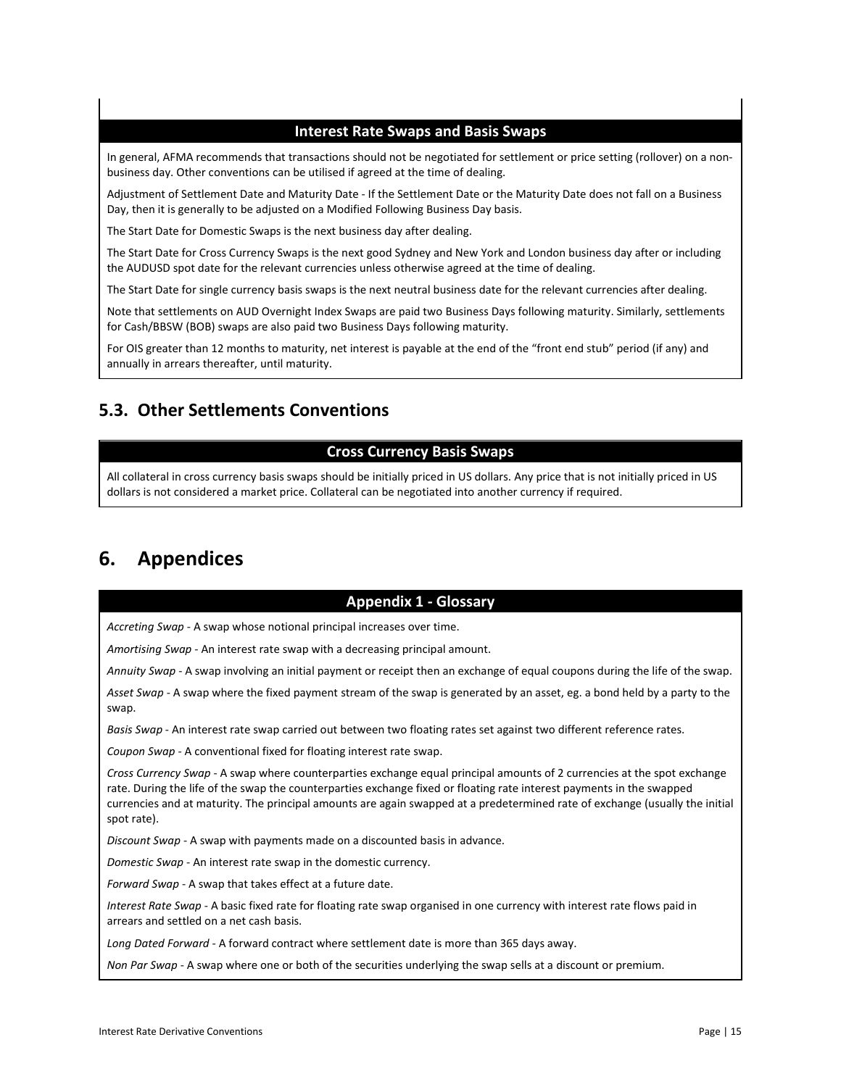### **Interest Rate Swaps and Basis Swaps**

In general, AFMA recommends that transactions should not be negotiated for settlement or price setting (rollover) on a nonbusiness day. Other conventions can be utilised if agreed at the time of dealing.

Adjustment of Settlement Date and Maturity Date - If the Settlement Date or the Maturity Date does not fall on a Business Day, then it is generally to be adjusted on a Modified Following Business Day basis.

The Start Date for Domestic Swaps is the next business day after dealing.

The Start Date for Cross Currency Swaps is the next good Sydney and New York and London business day after or including the AUDUSD spot date for the relevant currencies unless otherwise agreed at the time of dealing.

The Start Date for single currency basis swaps is the next neutral business date for the relevant currencies after dealing.

Note that settlements on AUD Overnight Index Swaps are paid two Business Days following maturity. Similarly, settlements for Cash/BBSW (BOB) swaps are also paid two Business Days following maturity.

For OIS greater than 12 months to maturity, net interest is payable at the end of the "front end stub" period (if any) and annually in arrears thereafter, until maturity.

# <span id="page-14-0"></span>**5.3. Other Settlements Conventions**

### **Cross Currency Basis Swaps**

All collateral in cross currency basis swaps should be initially priced in US dollars. Any price that is not initially priced in US dollars is not considered a market price. Collateral can be negotiated into another currency if required.

# <span id="page-14-1"></span>**6. Appendices**

### **Appendix 1 - Glossary**

*Accreting Swap* - A swap whose notional principal increases over time.

*Amortising Swap* - An interest rate swap with a decreasing principal amount.

*Annuity Swap* - A swap involving an initial payment or receipt then an exchange of equal coupons during the life of the swap.

*Asset Swap* - A swap where the fixed payment stream of the swap is generated by an asset, eg. a bond held by a party to the swap.

*Basis Swap* - An interest rate swap carried out between two floating rates set against two different reference rates.

*Coupon Swap* - A conventional fixed for floating interest rate swap.

*Cross Currency Swap* - A swap where counterparties exchange equal principal amounts of 2 currencies at the spot exchange rate. During the life of the swap the counterparties exchange fixed or floating rate interest payments in the swapped currencies and at maturity. The principal amounts are again swapped at a predetermined rate of exchange (usually the initial spot rate).

*Discount Swap* - A swap with payments made on a discounted basis in advance.

*Domestic Swap* - An interest rate swap in the domestic currency.

*Forward Swap* - A swap that takes effect at a future date.

*Interest Rate Swap* - A basic fixed rate for floating rate swap organised in one currency with interest rate flows paid in arrears and settled on a net cash basis.

*Long Dated Forward* - A forward contract where settlement date is more than 365 days away.

*Non Par Swap* - A swap where one or both of the securities underlying the swap sells at a discount or premium.